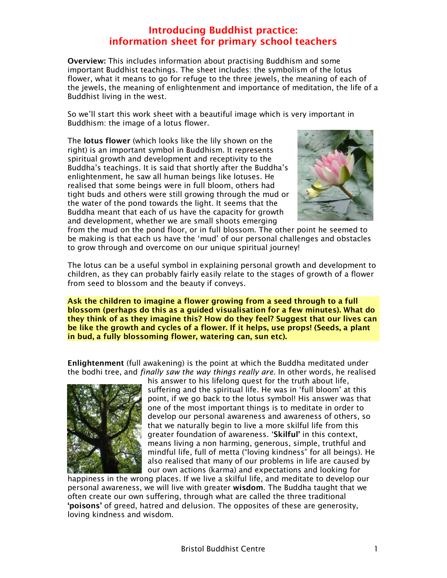Overview: This includes information about practising Buddhism and some important Buddhist teachings. The sheet includes: the symbolism of the lotus flower, what it means to go for refuge to the three jewels, the meaning of each of the jewels, the meaning of enlightenment and importance of meditation, the life of a Buddhist living in the west.

So we'll start this work sheet with a beautiful image which is very important in Buddhism: the image of a lotus flower.

The lotus flower (which looks like the lily shown on the right) is an important symbol in Buddhism. It represents spiritual growth and development and receptivity to the Buddha's teachings. It is said that shortly after the Buddha's enlightenment, he saw all human beings like lotuses. He realised that some beings were in full bloom, others had tight buds and others were still growing through the mud or the water of the pond towards the light. It seems that the Buddha meant that each of us have the capacity for growth and development, whether we are small shoots emerging



from the mud on the pond floor, or in full blossom. The other point he seemed to be making is that each us have the 'mud' of our personal challenges and obstacles to grow through and overcome on our unique spiritual journey!

The lotus can be a useful symbol in explaining personal growth and development to children, as they can probably fairly easily relate to the stages of growth of a flower from seed to blossom and the beauty if conveys.

Ask the children to imagine a flower growing from a seed through to a full blossom (perhaps do this as a guided visualisation for a few minutes). What do they think of as they imagine this? How do they feel? Suggest that our lives can be like the growth and cycles of a flower. If it helps, use props! (Seeds, a plant in bud, a fully blossoming flower, watering can, sun etc).

Enlightenment (full awakening) is the point at which the Buddha meditated under the bodhi tree, and finally saw the way things really are. In other words, he realised



his answer to his lifelong quest for the truth about life, suffering and the spiritual life. He was in 'full bloom' at this point, if we go back to the lotus symbol! His answer was that one of the most important things is to meditate in order to develop our personal awareness and awareness of others, so that we naturally begin to live a more skilful life from this greater foundation of awareness. 'Skilful' in this context, means living a non harming, generous, simple, truthful and mindful life, full of metta ("loving kindness" for all beings). He also realised that many of our problems in life are caused by our own actions (karma) and expectations and looking for

happiness in the wrong places. If we live a skilful life, and meditate to develop our personal awareness, we will live with greater wisdom. The Buddha taught that we often create our own suffering, through what are called the three traditional 'poisons' of greed, hatred and delusion. The opposites of these are generosity, loving kindness and wisdom.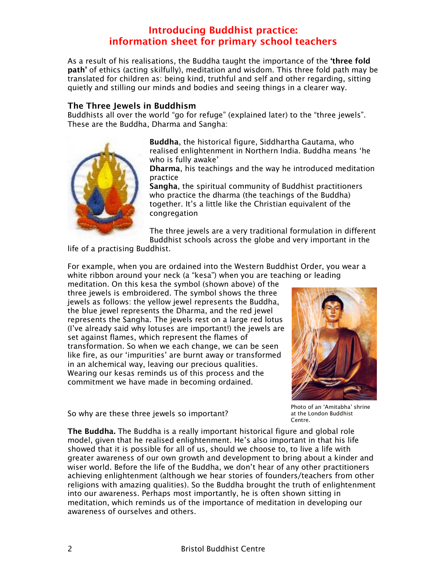As a result of his realisations, the Buddha taught the importance of the 'three fold path' of ethics (acting skilfully), meditation and wisdom. This three fold path may be translated for children as: being kind, truthful and self and other regarding, sitting quietly and stilling our minds and bodies and seeing things in a clearer way.

### The Three Jewels in Buddhism

Buddhists all over the world "go for refuge" (explained later) to the "three jewels". These are the Buddha, Dharma and Sangha:



Buddha, the historical figure, Siddhartha Gautama, who realised enlightenment in Northern India. Buddha means 'he who is fully awake'

Dharma, his teachings and the way he introduced meditation practice

Sangha, the spiritual community of Buddhist practitioners who practice the dharma (the teachings of the Buddha) together. It's a little like the Christian equivalent of the congregation

The three jewels are a very traditional formulation in different Buddhist schools across the globe and very important in the

life of a practising Buddhist.

For example, when you are ordained into the Western Buddhist Order, you wear a white ribbon around your neck (a "kesa") when you are teaching or leading

meditation. On this kesa the symbol (shown above) of the three jewels is embroidered. The symbol shows the three jewels as follows: the yellow jewel represents the Buddha, the blue jewel represents the Dharma, and the red jewel represents the Sangha. The jewels rest on a large red lotus (I've already said why lotuses are important!) the jewels are set against flames, which represent the flames of transformation. So when we each change, we can be seen like fire, as our 'impurities' are burnt away or transformed in an alchemical way, leaving our precious qualities. Wearing our kesas reminds us of this process and the commitment we have made in becoming ordained.



So why are these three jewels so important?

Photo of an 'Amitabha' shrine at the London Buddhist Centre.

The Buddha. The Buddha is a really important historical figure and global role model, given that he realised enlightenment. He's also important in that his life showed that it is possible for all of us, should we choose to, to live a life with greater awareness of our own growth and development to bring about a kinder and wiser world. Before the life of the Buddha, we don't hear of any other practitioners achieving enlightenment (although we hear stories of founders/teachers from other religions with amazing qualities). So the Buddha brought the truth of enlightenment into our awareness. Perhaps most importantly, he is often shown sitting in meditation, which reminds us of the importance of meditation in developing our awareness of ourselves and others.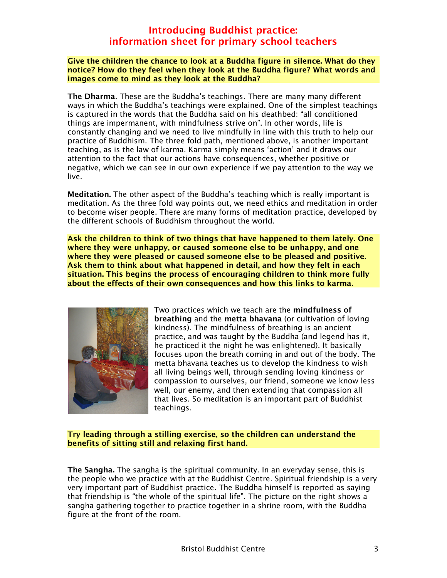#### Give the children the chance to look at a Buddha figure in silence. What do they notice? How do they feel when they look at the Buddha figure? What words and images come to mind as they look at the Buddha?

The Dharma. These are the Buddha's teachings. There are many many different ways in which the Buddha's teachings were explained. One of the simplest teachings is captured in the words that the Buddha said on his deathbed: "all conditioned things are impermanent, with mindfulness strive on". In other words, life is constantly changing and we need to live mindfully in line with this truth to help our practice of Buddhism. The three fold path, mentioned above, is another important teaching, as is the law of karma. Karma simply means 'action' and it draws our attention to the fact that our actions have consequences, whether positive or negative, which we can see in our own experience if we pay attention to the way we live.

Meditation. The other aspect of the Buddha's teaching which is really important is meditation. As the three fold way points out, we need ethics and meditation in order to become wiser people. There are many forms of meditation practice, developed by the different schools of Buddhism throughout the world.

Ask the children to think of two things that have happened to them lately. One where they were unhappy, or caused someone else to be unhappy, and one where they were pleased or caused someone else to be pleased and positive. Ask them to think about what happened in detail, and how they felt in each situation. This begins the process of encouraging children to think more fully about the effects of their own consequences and how this links to karma.



Two practices which we teach are the mindfulness of breathing and the metta bhavana (or cultivation of loving kindness). The mindfulness of breathing is an ancient practice, and was taught by the Buddha (and legend has it, he practiced it the night he was enlightened). It basically focuses upon the breath coming in and out of the body. The metta bhavana teaches us to develop the kindness to wish all living beings well, through sending loving kindness or compassion to ourselves, our friend, someone we know less well, our enemy, and then extending that compassion all that lives. So meditation is an important part of Buddhist teachings.

#### Try leading through a stilling exercise, so the children can understand the benefits of sitting still and relaxing first hand.

The Sangha. The sangha is the spiritual community. In an everyday sense, this is the people who we practice with at the Buddhist Centre. Spiritual friendship is a very very important part of Buddhist practice. The Buddha himself is reported as saying that friendship is "the whole of the spiritual life". The picture on the right shows a sangha gathering together to practice together in a shrine room, with the Buddha figure at the front of the room.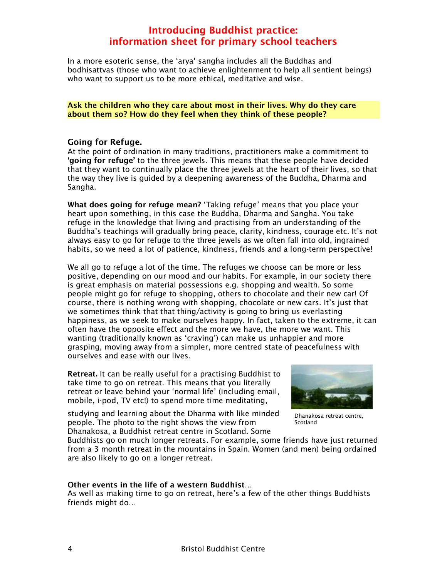In a more esoteric sense, the 'arya' sangha includes all the Buddhas and bodhisattvas (those who want to achieve enlightenment to help all sentient beings) who want to support us to be more ethical, meditative and wise.

Ask the children who they care about most in their lives. Why do they care about them so? How do they feel when they think of these people?

#### Going for Refuge.

At the point of ordination in many traditions, practitioners make a commitment to 'going for refuge' to the three jewels. This means that these people have decided that they want to continually place the three jewels at the heart of their lives, so that the way they live is guided by a deepening awareness of the Buddha, Dharma and Sangha.

What does going for refuge mean? 'Taking refuge' means that you place your heart upon something, in this case the Buddha, Dharma and Sangha. You take refuge in the knowledge that living and practising from an understanding of the Buddha's teachings will gradually bring peace, clarity, kindness, courage etc. It's not always easy to go for refuge to the three jewels as we often fall into old, ingrained habits, so we need a lot of patience, kindness, friends and a long-term perspective!

We all go to refuge a lot of the time. The refuges we choose can be more or less positive, depending on our mood and our habits. For example, in our society there is great emphasis on material possessions e.g. shopping and wealth. So some people might go for refuge to shopping, others to chocolate and their new car! Of course, there is nothing wrong with shopping, chocolate or new cars. It's just that we sometimes think that that thing/activity is going to bring us everlasting happiness, as we seek to make ourselves happy. In fact, taken to the extreme, it can often have the opposite effect and the more we have, the more we want. This wanting (traditionally known as 'craving') can make us unhappier and more grasping, moving away from a simpler, more centred state of peacefulness with ourselves and ease with our lives.

Retreat. It can be really useful for a practising Buddhist to take time to go on retreat. This means that you literally retreat or leave behind your 'normal life' (including email, mobile, i-pod, TV etc!) to spend more time meditating,

studying and learning about the Dharma with like minded people. The photo to the right shows the view from Dhanakosa, a Buddhist retreat centre in Scotland. Some



Dhanakosa retreat centre, Scotland

Buddhists go on much longer retreats. For example, some friends have just returned from a 3 month retreat in the mountains in Spain. Women (and men) being ordained are also likely to go on a longer retreat.

#### Other events in the life of a western Buddhist…

As well as making time to go on retreat, here's a few of the other things Buddhists friends might do…